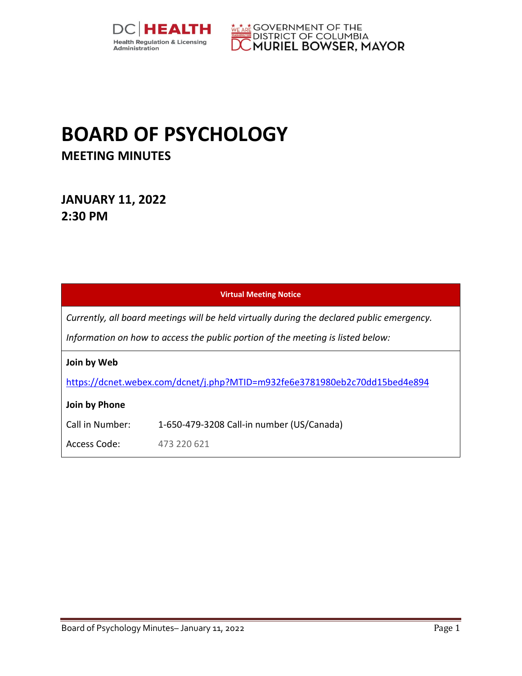



## **BOARD OF PSYCHOLOGY MEETING MINUTES**

## **JANUARY 11, 2022 2:30 PM**

| <b>Virtual Meeting Notice</b>                                                                                                                                                 |                                           |  |  |  |
|-------------------------------------------------------------------------------------------------------------------------------------------------------------------------------|-------------------------------------------|--|--|--|
| Currently, all board meetings will be held virtually during the declared public emergency.<br>Information on how to access the public portion of the meeting is listed below: |                                           |  |  |  |
| Join by Web                                                                                                                                                                   |                                           |  |  |  |
| https://dcnet.webex.com/dcnet/j.php?MTID=m932fe6e3781980eb2c70dd15bed4e894                                                                                                    |                                           |  |  |  |
| Join by Phone                                                                                                                                                                 |                                           |  |  |  |
| Call in Number:                                                                                                                                                               | 1-650-479-3208 Call-in number (US/Canada) |  |  |  |
| Access Code:                                                                                                                                                                  | 473 220 621                               |  |  |  |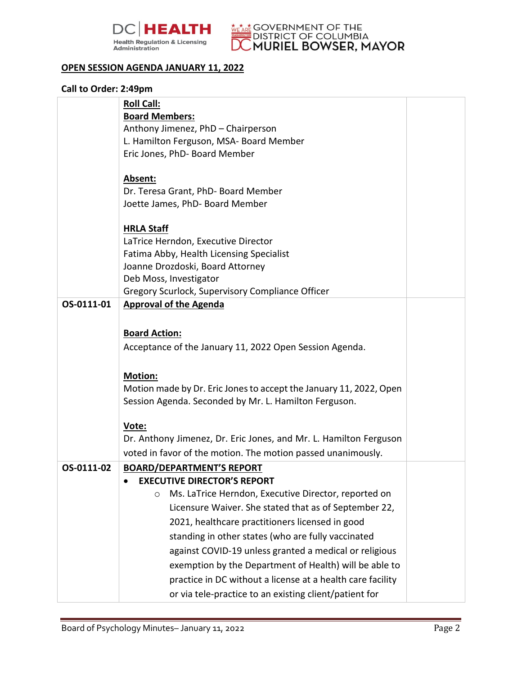



## **OPEN SESSION AGENDA JANUARY 11, 2022**

## **Call to Order: 2:49pm**

|            | <b>Roll Call:</b>                                                        |  |
|------------|--------------------------------------------------------------------------|--|
|            | <b>Board Members:</b>                                                    |  |
|            | Anthony Jimenez, PhD - Chairperson                                       |  |
|            | L. Hamilton Ferguson, MSA- Board Member<br>Eric Jones, PhD- Board Member |  |
|            |                                                                          |  |
|            | Absent:                                                                  |  |
|            | Dr. Teresa Grant, PhD- Board Member                                      |  |
|            | Joette James, PhD- Board Member                                          |  |
|            | <b>HRLA Staff</b>                                                        |  |
|            | LaTrice Herndon, Executive Director                                      |  |
|            | Fatima Abby, Health Licensing Specialist                                 |  |
|            | Joanne Drozdoski, Board Attorney                                         |  |
|            | Deb Moss, Investigator                                                   |  |
|            | Gregory Scurlock, Supervisory Compliance Officer                         |  |
| OS-0111-01 | <b>Approval of the Agenda</b>                                            |  |
|            |                                                                          |  |
|            | <b>Board Action:</b>                                                     |  |
|            | Acceptance of the January 11, 2022 Open Session Agenda.                  |  |
|            |                                                                          |  |
|            | <b>Motion:</b>                                                           |  |
|            | Motion made by Dr. Eric Jones to accept the January 11, 2022, Open       |  |
|            | Session Agenda. Seconded by Mr. L. Hamilton Ferguson.                    |  |
|            | Vote:                                                                    |  |
|            | Dr. Anthony Jimenez, Dr. Eric Jones, and Mr. L. Hamilton Ferguson        |  |
|            | voted in favor of the motion. The motion passed unanimously.             |  |
| OS-0111-02 | <b>BOARD/DEPARTMENT'S REPORT</b>                                         |  |
|            | <b>EXECUTIVE DIRECTOR'S REPORT</b>                                       |  |
|            | Ms. LaTrice Herndon, Executive Director, reported on<br>$\circ$          |  |
|            | Licensure Waiver. She stated that as of September 22,                    |  |
|            |                                                                          |  |
|            | 2021, healthcare practitioners licensed in good                          |  |
|            | standing in other states (who are fully vaccinated                       |  |
|            | against COVID-19 unless granted a medical or religious                   |  |
|            | exemption by the Department of Health) will be able to                   |  |
|            | practice in DC without a license at a health care facility               |  |
|            | or via tele-practice to an existing client/patient for                   |  |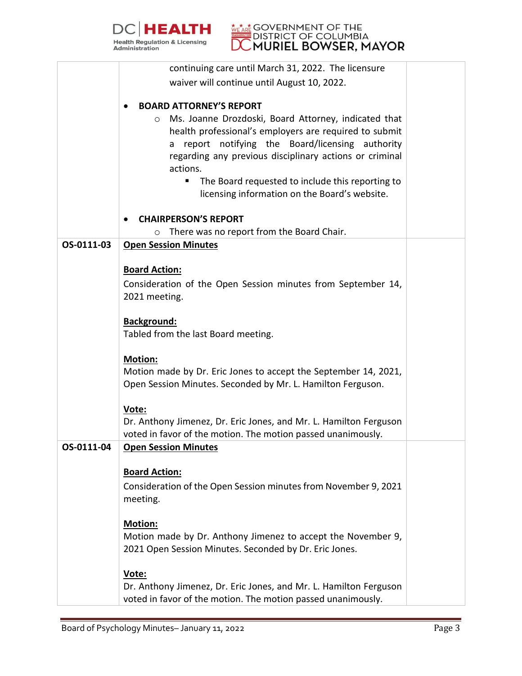



|            | continuing care until March 31, 2022. The licensure                                                                                                                                                                                         |  |
|------------|---------------------------------------------------------------------------------------------------------------------------------------------------------------------------------------------------------------------------------------------|--|
|            | waiver will continue until August 10, 2022.                                                                                                                                                                                                 |  |
|            |                                                                                                                                                                                                                                             |  |
|            | <b>BOARD ATTORNEY'S REPORT</b><br>$\bullet$                                                                                                                                                                                                 |  |
|            | Ms. Joanne Drozdoski, Board Attorney, indicated that<br>$\circ$<br>health professional's employers are required to submit<br>report notifying the Board/licensing authority<br>a<br>regarding any previous disciplinary actions or criminal |  |
|            | actions.                                                                                                                                                                                                                                    |  |
|            | The Board requested to include this reporting to<br>licensing information on the Board's website.                                                                                                                                           |  |
|            | <b>CHAIRPERSON'S REPORT</b>                                                                                                                                                                                                                 |  |
|            | There was no report from the Board Chair.<br>O                                                                                                                                                                                              |  |
| OS-0111-03 | <b>Open Session Minutes</b>                                                                                                                                                                                                                 |  |
|            |                                                                                                                                                                                                                                             |  |
|            | <b>Board Action:</b>                                                                                                                                                                                                                        |  |
|            | Consideration of the Open Session minutes from September 14,                                                                                                                                                                                |  |
|            | 2021 meeting.                                                                                                                                                                                                                               |  |
|            |                                                                                                                                                                                                                                             |  |
|            | <b>Background:</b>                                                                                                                                                                                                                          |  |
|            | Tabled from the last Board meeting.                                                                                                                                                                                                         |  |
|            | <b>Motion:</b>                                                                                                                                                                                                                              |  |
|            | Motion made by Dr. Eric Jones to accept the September 14, 2021,                                                                                                                                                                             |  |
|            | Open Session Minutes. Seconded by Mr. L. Hamilton Ferguson.                                                                                                                                                                                 |  |
|            |                                                                                                                                                                                                                                             |  |
|            | Vote:                                                                                                                                                                                                                                       |  |
|            | Dr. Anthony Jimenez, Dr. Eric Jones, and Mr. L. Hamilton Ferguson                                                                                                                                                                           |  |
|            | voted in favor of the motion. The motion passed unanimously.                                                                                                                                                                                |  |
| OS-0111-04 | <b>Open Session Minutes</b>                                                                                                                                                                                                                 |  |
|            | <b>Board Action:</b>                                                                                                                                                                                                                        |  |
|            | Consideration of the Open Session minutes from November 9, 2021                                                                                                                                                                             |  |
|            | meeting.                                                                                                                                                                                                                                    |  |
|            |                                                                                                                                                                                                                                             |  |
|            | Motion:                                                                                                                                                                                                                                     |  |
|            | Motion made by Dr. Anthony Jimenez to accept the November 9,                                                                                                                                                                                |  |
|            | 2021 Open Session Minutes. Seconded by Dr. Eric Jones.                                                                                                                                                                                      |  |
|            |                                                                                                                                                                                                                                             |  |
|            | Vote:<br>Dr. Anthony Jimenez, Dr. Eric Jones, and Mr. L. Hamilton Ferguson                                                                                                                                                                  |  |
|            | voted in favor of the motion. The motion passed unanimously.                                                                                                                                                                                |  |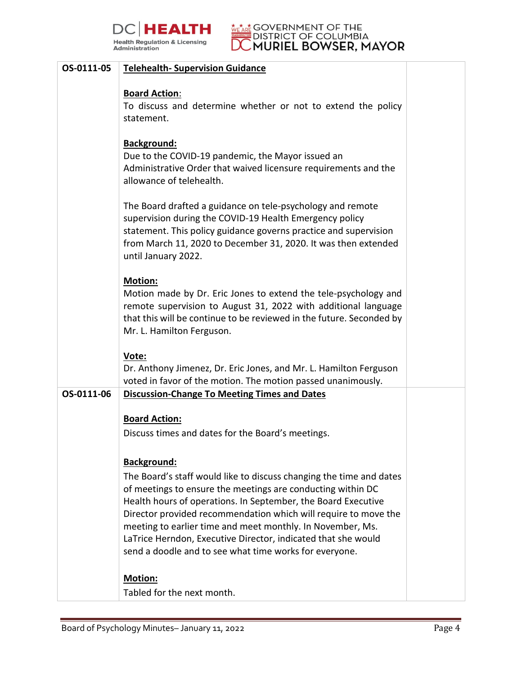



| OS-0111-05 | <b>Telehealth- Supervision Guidance</b>                                                                                                                                                                                                                                                                                                                                                                                                                         |  |
|------------|-----------------------------------------------------------------------------------------------------------------------------------------------------------------------------------------------------------------------------------------------------------------------------------------------------------------------------------------------------------------------------------------------------------------------------------------------------------------|--|
|            | <b>Board Action:</b><br>To discuss and determine whether or not to extend the policy<br>statement.                                                                                                                                                                                                                                                                                                                                                              |  |
|            | Background:<br>Due to the COVID-19 pandemic, the Mayor issued an<br>Administrative Order that waived licensure requirements and the<br>allowance of telehealth.                                                                                                                                                                                                                                                                                                 |  |
|            | The Board drafted a guidance on tele-psychology and remote<br>supervision during the COVID-19 Health Emergency policy<br>statement. This policy guidance governs practice and supervision<br>from March 11, 2020 to December 31, 2020. It was then extended<br>until January 2022.                                                                                                                                                                              |  |
|            | <b>Motion:</b><br>Motion made by Dr. Eric Jones to extend the tele-psychology and<br>remote supervision to August 31, 2022 with additional language<br>that this will be continue to be reviewed in the future. Seconded by<br>Mr. L. Hamilton Ferguson.                                                                                                                                                                                                        |  |
|            | Vote:<br>Dr. Anthony Jimenez, Dr. Eric Jones, and Mr. L. Hamilton Ferguson<br>voted in favor of the motion. The motion passed unanimously.                                                                                                                                                                                                                                                                                                                      |  |
| OS-0111-06 | <b>Discussion-Change To Meeting Times and Dates</b>                                                                                                                                                                                                                                                                                                                                                                                                             |  |
|            | <b>Board Action:</b>                                                                                                                                                                                                                                                                                                                                                                                                                                            |  |
|            | Discuss times and dates for the Board's meetings.                                                                                                                                                                                                                                                                                                                                                                                                               |  |
|            | <b>Background:</b>                                                                                                                                                                                                                                                                                                                                                                                                                                              |  |
|            | The Board's staff would like to discuss changing the time and dates<br>of meetings to ensure the meetings are conducting within DC<br>Health hours of operations. In September, the Board Executive<br>Director provided recommendation which will require to move the<br>meeting to earlier time and meet monthly. In November, Ms.<br>LaTrice Herndon, Executive Director, indicated that she would<br>send a doodle and to see what time works for everyone. |  |
|            | Motion:                                                                                                                                                                                                                                                                                                                                                                                                                                                         |  |
|            | Tabled for the next month.                                                                                                                                                                                                                                                                                                                                                                                                                                      |  |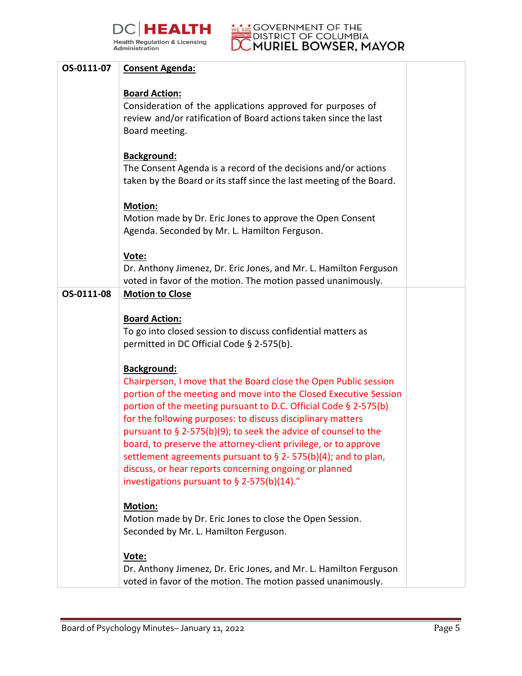



| OS-0111-07 | <b>Consent Agenda:</b>                                                                                                                                                                                                                                                                                                                                                                                                                                                                                                                                                                                            |  |
|------------|-------------------------------------------------------------------------------------------------------------------------------------------------------------------------------------------------------------------------------------------------------------------------------------------------------------------------------------------------------------------------------------------------------------------------------------------------------------------------------------------------------------------------------------------------------------------------------------------------------------------|--|
|            | <b>Board Action:</b><br>Consideration of the applications approved for purposes of<br>review and/or ratification of Board actions taken since the last<br>Board meeting.                                                                                                                                                                                                                                                                                                                                                                                                                                          |  |
|            | <b>Background:</b><br>The Consent Agenda is a record of the decisions and/or actions<br>taken by the Board or its staff since the last meeting of the Board.                                                                                                                                                                                                                                                                                                                                                                                                                                                      |  |
|            | <b>Motion:</b><br>Motion made by Dr. Eric Jones to approve the Open Consent<br>Agenda. Seconded by Mr. L. Hamilton Ferguson.                                                                                                                                                                                                                                                                                                                                                                                                                                                                                      |  |
|            | Vote:<br>Dr. Anthony Jimenez, Dr. Eric Jones, and Mr. L. Hamilton Ferguson<br>voted in favor of the motion. The motion passed unanimously.                                                                                                                                                                                                                                                                                                                                                                                                                                                                        |  |
| OS-0111-08 | <b>Motion to Close</b>                                                                                                                                                                                                                                                                                                                                                                                                                                                                                                                                                                                            |  |
|            | <b>Board Action:</b><br>To go into closed session to discuss confidential matters as<br>permitted in DC Official Code § 2-575(b).                                                                                                                                                                                                                                                                                                                                                                                                                                                                                 |  |
|            | <b>Background:</b><br>Chairperson, I move that the Board close the Open Public session<br>portion of the meeting and move into the Closed Executive Session<br>portion of the meeting pursuant to D.C. Official Code § 2-575(b)<br>for the following purposes: to discuss disciplinary matters<br>pursuant to § 2-575(b)(9); to seek the advice of counsel to the<br>board, to preserve the attorney-client privilege, or to approve<br>settlement agreements pursuant to $\S$ 2-575(b)(4); and to plan,<br>discuss, or hear reports concerning ongoing or planned<br>investigations pursuant to § 2-575(b)(14)." |  |
|            | <b>Motion:</b><br>Motion made by Dr. Eric Jones to close the Open Session.<br>Seconded by Mr. L. Hamilton Ferguson.                                                                                                                                                                                                                                                                                                                                                                                                                                                                                               |  |
|            | Vote:<br>Dr. Anthony Jimenez, Dr. Eric Jones, and Mr. L. Hamilton Ferguson<br>voted in favor of the motion. The motion passed unanimously.                                                                                                                                                                                                                                                                                                                                                                                                                                                                        |  |